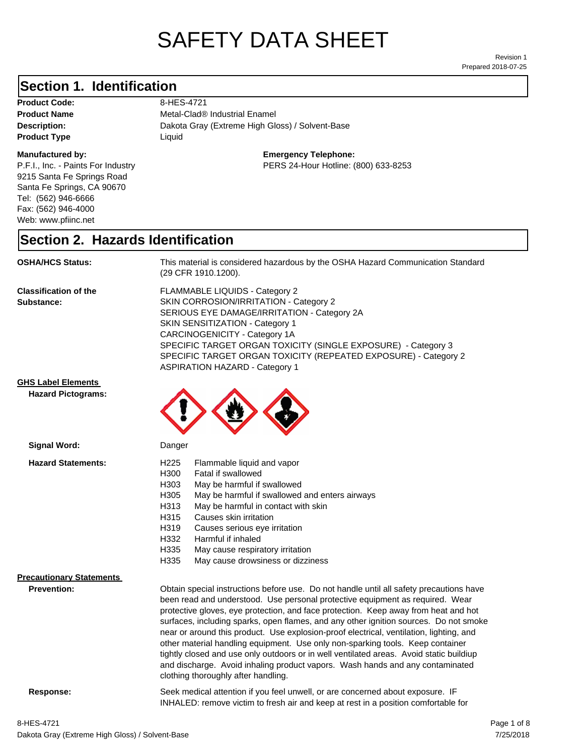# SAFETY DATA SHEET

Prepared 2018-07-25 Revision 1

### **Section 1. Identification**

Product Code: 8-HES-4721 **Product Type Liquid Liquid** 

#### **Manufactured by:**

P.F.I., Inc. - Paints For Industry 9215 Santa Fe Springs Road Santa Fe Springs, CA 90670 Tel: (562) 946-6666 Fax: (562) 946-4000 Web: www.pfiinc.net

**Description:** Dakota Gray (Extreme High Gloss) / Solvent-Base **Product Name** Metal-Clad® Industrial Enamel

**Emergency Telephone:**

PERS 24-Hour Hotline: (800) 633-8253

#### **Section 2. Hazards Identification**

**OSHA/HCS Status:** This material is considered hazardous by the OSHA Hazard Communication Standard (29 CFR 1910.1200).

**Classification of the Substance:**

FLAMMABLE LIQUIDS - Category 2 SKIN CORROSION/IRRITATION - Category 2 SERIOUS EYE DAMAGE/IRRITATION - Category 2A SKIN SENSITIZATION - Category 1 CARCINOGENICITY - Category 1A SPECIFIC TARGET ORGAN TOXICITY (SINGLE EXPOSURE) - Category 3 SPECIFIC TARGET ORGAN TOXICITY (REPEATED EXPOSURE) - Category 2 ASPIRATION HAZARD - Category 1

#### **GHS Label Elements**

**Signal Word:**

**Hazard Pictograms:**



| <b>Hazard Statements:</b>       | H <sub>225</sub><br>Flammable liquid and vapor<br>H300<br>Fatal if swallowed<br>H303<br>May be harmful if swallowed<br>H305<br>May be harmful if swallowed and enters airways<br>May be harmful in contact with skin<br>H313<br>H315<br>Causes skin irritation<br>H319<br>Causes serious eye irritation<br>H332<br>Harmful if inhaled<br>H335<br>May cause respiratory irritation<br>H335<br>May cause drowsiness or dizziness                                                                                                                                                                                                                                                                                                                           |
|---------------------------------|----------------------------------------------------------------------------------------------------------------------------------------------------------------------------------------------------------------------------------------------------------------------------------------------------------------------------------------------------------------------------------------------------------------------------------------------------------------------------------------------------------------------------------------------------------------------------------------------------------------------------------------------------------------------------------------------------------------------------------------------------------|
| <b>Precautionary Statements</b> |                                                                                                                                                                                                                                                                                                                                                                                                                                                                                                                                                                                                                                                                                                                                                          |
| <b>Prevention:</b>              | Obtain special instructions before use. Do not handle until all safety precautions have<br>been read and understood. Use personal protective equipment as required. Wear<br>protective gloves, eye protection, and face protection. Keep away from heat and hot<br>surfaces, including sparks, open flames, and any other ignition sources. Do not smoke<br>near or around this product. Use explosion-proof electrical, ventilation, lighting, and<br>other material handling equipment. Use only non-sparking tools. Keep container<br>tightly closed and use only outdoors or in well ventilated areas. Avoid static buildiup<br>and discharge. Avoid inhaling product vapors. Wash hands and any contaminated<br>clothing thoroughly after handling. |
| Response:                       | Seek medical attention if you feel unwell, or are concerned about exposure. IF<br>INHALED: remove victim to fresh air and keep at rest in a position comfortable for                                                                                                                                                                                                                                                                                                                                                                                                                                                                                                                                                                                     |
|                                 |                                                                                                                                                                                                                                                                                                                                                                                                                                                                                                                                                                                                                                                                                                                                                          |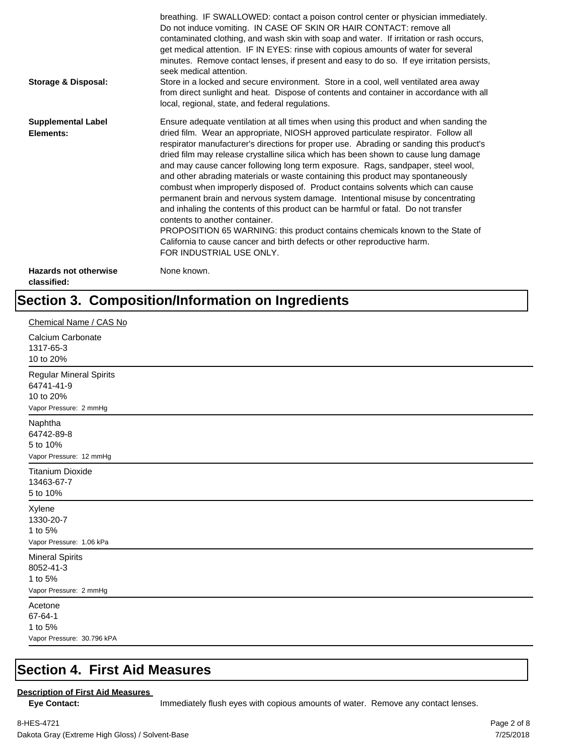| <b>Storage &amp; Disposal:</b>              | breathing. IF SWALLOWED: contact a poison control center or physician immediately.<br>Do not induce vomiting. IN CASE OF SKIN OR HAIR CONTACT: remove all<br>contaminated clothing, and wash skin with soap and water. If irritation or rash occurs,<br>get medical attention. IF IN EYES: rinse with copious amounts of water for several<br>minutes. Remove contact lenses, if present and easy to do so. If eye irritation persists,<br>seek medical attention.<br>Store in a locked and secure environment. Store in a cool, well ventilated area away<br>from direct sunlight and heat. Dispose of contents and container in accordance with all<br>local, regional, state, and federal regulations.                                                                                                                                                                                                                                                                                                                |
|---------------------------------------------|--------------------------------------------------------------------------------------------------------------------------------------------------------------------------------------------------------------------------------------------------------------------------------------------------------------------------------------------------------------------------------------------------------------------------------------------------------------------------------------------------------------------------------------------------------------------------------------------------------------------------------------------------------------------------------------------------------------------------------------------------------------------------------------------------------------------------------------------------------------------------------------------------------------------------------------------------------------------------------------------------------------------------|
| <b>Supplemental Label</b><br>Elements:      | Ensure adequate ventilation at all times when using this product and when sanding the<br>dried film. Wear an appropriate, NIOSH approved particulate respirator. Follow all<br>respirator manufacturer's directions for proper use. Abrading or sanding this product's<br>dried film may release crystalline silica which has been shown to cause lung damage<br>and may cause cancer following long term exposure. Rags, sandpaper, steel wool,<br>and other abrading materials or waste containing this product may spontaneously<br>combust when improperly disposed of. Product contains solvents which can cause<br>permanent brain and nervous system damage. Intentional misuse by concentrating<br>and inhaling the contents of this product can be harmful or fatal. Do not transfer<br>contents to another container.<br>PROPOSITION 65 WARNING: this product contains chemicals known to the State of<br>California to cause cancer and birth defects or other reproductive harm.<br>FOR INDUSTRIAL USE ONLY. |
| <b>Hazards not otherwise</b><br>classified: | None known.                                                                                                                                                                                                                                                                                                                                                                                                                                                                                                                                                                                                                                                                                                                                                                                                                                                                                                                                                                                                              |

## **Section 3. Composition/Information on Ingredients**

| Chemical Name / CAS No                                                              |
|-------------------------------------------------------------------------------------|
| Calcium Carbonate<br>1317-65-3<br>10 to 20%                                         |
| <b>Regular Mineral Spirits</b><br>64741-41-9<br>10 to 20%<br>Vapor Pressure: 2 mmHg |
| Naphtha<br>64742-89-8<br>5 to 10%<br>Vapor Pressure: 12 mmHg                        |
| <b>Titanium Dioxide</b><br>13463-67-7<br>5 to 10%                                   |
| Xylene<br>1330-20-7<br>1 to 5%<br>Vapor Pressure: 1.06 kPa                          |
| <b>Mineral Spirits</b><br>8052-41-3<br>1 to 5%<br>Vapor Pressure: 2 mmHg            |
| Acetone<br>67-64-1<br>1 to 5%<br>Vapor Pressure: 30.796 kPA                         |

#### **Section 4. First Aid Measures**

#### **Description of First Aid Measures**

Eye Contact: **IMMED** Immediately flush eyes with copious amounts of water. Remove any contact lenses.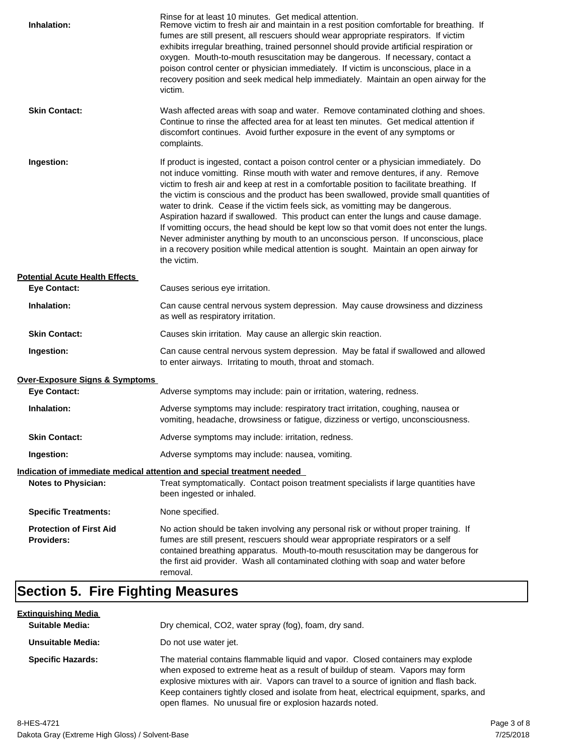| Inhalation:                                         | Rinse for at least 10 minutes. Get medical attention.<br>Remove victim to fresh air and maintain in a rest position comfortable for breathing. If<br>fumes are still present, all rescuers should wear appropriate respirators. If victim<br>exhibits irregular breathing, trained personnel should provide artificial respiration or<br>oxygen. Mouth-to-mouth resuscitation may be dangerous. If necessary, contact a<br>poison control center or physician immediately. If victim is unconscious, place in a<br>recovery position and seek medical help immediately. Maintain an open airway for the<br>victim.                                                                                                                                                                                                                    |
|-----------------------------------------------------|---------------------------------------------------------------------------------------------------------------------------------------------------------------------------------------------------------------------------------------------------------------------------------------------------------------------------------------------------------------------------------------------------------------------------------------------------------------------------------------------------------------------------------------------------------------------------------------------------------------------------------------------------------------------------------------------------------------------------------------------------------------------------------------------------------------------------------------|
| <b>Skin Contact:</b>                                | Wash affected areas with soap and water. Remove contaminated clothing and shoes.<br>Continue to rinse the affected area for at least ten minutes. Get medical attention if<br>discomfort continues. Avoid further exposure in the event of any symptoms or<br>complaints.                                                                                                                                                                                                                                                                                                                                                                                                                                                                                                                                                             |
| Ingestion:                                          | If product is ingested, contact a poison control center or a physician immediately. Do<br>not induce vomitting. Rinse mouth with water and remove dentures, if any. Remove<br>victim to fresh air and keep at rest in a comfortable position to facilitate breathing. If<br>the victim is conscious and the product has been swallowed, provide small quantities of<br>water to drink. Cease if the victim feels sick, as vomitting may be dangerous.<br>Aspiration hazard if swallowed. This product can enter the lungs and cause damage.<br>If vomitting occurs, the head should be kept low so that vomit does not enter the lungs.<br>Never administer anything by mouth to an unconscious person. If unconscious, place<br>in a recovery position while medical attention is sought. Maintain an open airway for<br>the victim. |
| <b>Potential Acute Health Effects</b>               |                                                                                                                                                                                                                                                                                                                                                                                                                                                                                                                                                                                                                                                                                                                                                                                                                                       |
| <b>Eye Contact:</b>                                 | Causes serious eye irritation.                                                                                                                                                                                                                                                                                                                                                                                                                                                                                                                                                                                                                                                                                                                                                                                                        |
| Inhalation:                                         | Can cause central nervous system depression. May cause drowsiness and dizziness<br>as well as respiratory irritation.                                                                                                                                                                                                                                                                                                                                                                                                                                                                                                                                                                                                                                                                                                                 |
| <b>Skin Contact:</b>                                | Causes skin irritation. May cause an allergic skin reaction.                                                                                                                                                                                                                                                                                                                                                                                                                                                                                                                                                                                                                                                                                                                                                                          |
| Ingestion:                                          | Can cause central nervous system depression. May be fatal if swallowed and allowed<br>to enter airways. Irritating to mouth, throat and stomach.                                                                                                                                                                                                                                                                                                                                                                                                                                                                                                                                                                                                                                                                                      |
| <b>Over-Exposure Signs &amp; Symptoms</b>           |                                                                                                                                                                                                                                                                                                                                                                                                                                                                                                                                                                                                                                                                                                                                                                                                                                       |
| <b>Eye Contact:</b>                                 | Adverse symptoms may include: pain or irritation, watering, redness.                                                                                                                                                                                                                                                                                                                                                                                                                                                                                                                                                                                                                                                                                                                                                                  |
| Inhalation:                                         | Adverse symptoms may include: respiratory tract irritation, coughing, nausea or<br>vomiting, headache, drowsiness or fatigue, dizziness or vertigo, unconsciousness.                                                                                                                                                                                                                                                                                                                                                                                                                                                                                                                                                                                                                                                                  |
| <b>Skin Contact:</b>                                | Adverse symptoms may include: irritation, redness.                                                                                                                                                                                                                                                                                                                                                                                                                                                                                                                                                                                                                                                                                                                                                                                    |
| Ingestion:                                          | Adverse symptoms may include: nausea, vomiting.                                                                                                                                                                                                                                                                                                                                                                                                                                                                                                                                                                                                                                                                                                                                                                                       |
|                                                     | Indication of immediate medical attention and special treatment needed                                                                                                                                                                                                                                                                                                                                                                                                                                                                                                                                                                                                                                                                                                                                                                |
| <b>Notes to Physician:</b>                          | Treat symptomatically. Contact poison treatment specialists if large quantities have<br>been ingested or inhaled.                                                                                                                                                                                                                                                                                                                                                                                                                                                                                                                                                                                                                                                                                                                     |
| <b>Specific Treatments:</b>                         | None specified.                                                                                                                                                                                                                                                                                                                                                                                                                                                                                                                                                                                                                                                                                                                                                                                                                       |
| <b>Protection of First Aid</b><br><b>Providers:</b> | No action should be taken involving any personal risk or without proper training. If<br>fumes are still present, rescuers should wear appropriate respirators or a self<br>contained breathing apparatus. Mouth-to-mouth resuscitation may be dangerous for<br>the first aid provider. Wash all contaminated clothing with soap and water before<br>removal.                                                                                                                                                                                                                                                                                                                                                                                                                                                                          |

## **Section 5. Fire Fighting Measures**

| <u>Extinquishing Media</u> |                                                                                                                                                                                                                                                                                                                                                                                                                   |
|----------------------------|-------------------------------------------------------------------------------------------------------------------------------------------------------------------------------------------------------------------------------------------------------------------------------------------------------------------------------------------------------------------------------------------------------------------|
| <b>Suitable Media:</b>     | Dry chemical, CO2, water spray (fog), foam, dry sand.                                                                                                                                                                                                                                                                                                                                                             |
| Unsuitable Media:          | Do not use water jet.                                                                                                                                                                                                                                                                                                                                                                                             |
| <b>Specific Hazards:</b>   | The material contains flammable liquid and vapor. Closed containers may explode<br>when exposed to extreme heat as a result of buildup of steam. Vapors may form<br>explosive mixtures with air. Vapors can travel to a source of ignition and flash back.<br>Keep containers tightly closed and isolate from heat, electrical equipment, sparks, and<br>open flames. No unusual fire or explosion hazards noted. |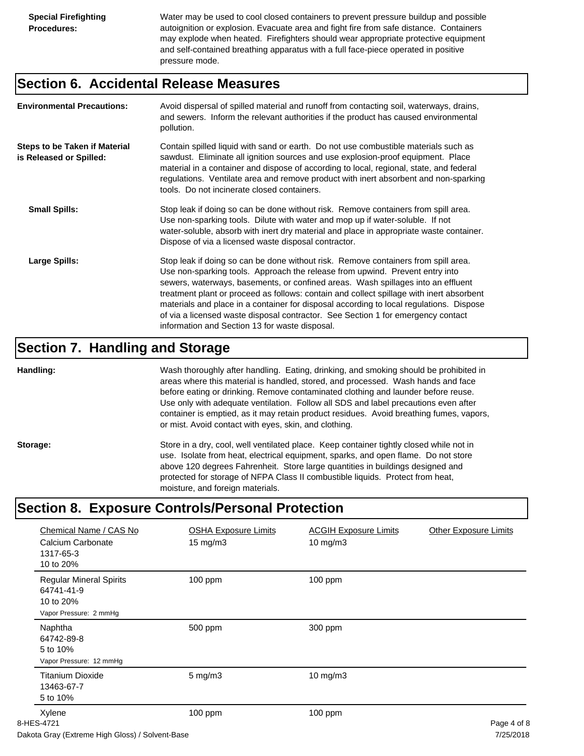Water may be used to cool closed containers to prevent pressure buildup and possible autoignition or explosion. Evacuate area and fight fire from safe distance. Containers may explode when heated. Firefighters should wear appropriate protective equipment and self-contained breathing apparatus with a full face-piece operated in positive pressure mode.

#### **Section 6. Accidental Release Measures**

| <b>Environmental Precautions:</b>                               | Avoid dispersal of spilled material and runoff from contacting soil, waterways, drains,<br>and sewers. Inform the relevant authorities if the product has caused environmental<br>pollution.                                                                                                                                                                                                                                                                                                                                                                                        |
|-----------------------------------------------------------------|-------------------------------------------------------------------------------------------------------------------------------------------------------------------------------------------------------------------------------------------------------------------------------------------------------------------------------------------------------------------------------------------------------------------------------------------------------------------------------------------------------------------------------------------------------------------------------------|
| <b>Steps to be Taken if Material</b><br>is Released or Spilled: | Contain spilled liquid with sand or earth. Do not use combustible materials such as<br>sawdust. Eliminate all ignition sources and use explosion-proof equipment. Place<br>material in a container and dispose of according to local, regional, state, and federal<br>regulations. Ventilate area and remove product with inert absorbent and non-sparking<br>tools. Do not incinerate closed containers.                                                                                                                                                                           |
| <b>Small Spills:</b>                                            | Stop leak if doing so can be done without risk. Remove containers from spill area.<br>Use non-sparking tools. Dilute with water and mop up if water-soluble. If not<br>water-soluble, absorb with inert dry material and place in appropriate waste container.<br>Dispose of via a licensed waste disposal contractor.                                                                                                                                                                                                                                                              |
| Large Spills:                                                   | Stop leak if doing so can be done without risk. Remove containers from spill area.<br>Use non-sparking tools. Approach the release from upwind. Prevent entry into<br>sewers, waterways, basements, or confined areas. Wash spillages into an effluent<br>treatment plant or proceed as follows: contain and collect spillage with inert absorbent<br>materials and place in a container for disposal according to local regulations. Dispose<br>of via a licensed waste disposal contractor. See Section 1 for emergency contact<br>information and Section 13 for waste disposal. |

#### **Section 7. Handling and Storage**

**Handling:** Wash thoroughly after handling. Eating, drinking, and smoking should be prohibited in areas where this material is handled, stored, and processed. Wash hands and face before eating or drinking. Remove contaminated clothing and launder before reuse. Use only with adequate ventilation. Follow all SDS and label precautions even after container is emptied, as it may retain product residues. Avoid breathing fumes, vapors, or mist. Avoid contact with eyes, skin, and clothing.

Storage: Store in a dry, cool, well ventilated place. Keep container tightly closed while not in use. Isolate from heat, electrical equipment, sparks, and open flame. Do not store above 120 degrees Fahrenheit. Store large quantities in buildings designed and protected for storage of NFPA Class II combustible liquids. Protect from heat, moisture, and foreign materials.

## **Section 8. Exposure Controls/Personal Protection**

| Chemical Name / CAS No<br>Calcium Carbonate<br>1317-65-3<br>10 to 20%               | <b>OSHA Exposure Limits</b><br>$15 \text{ mg/m}$ | <b>ACGIH Exposure Limits</b><br>$10$ mg/m $3$ | <b>Other Exposure Limits</b> |
|-------------------------------------------------------------------------------------|--------------------------------------------------|-----------------------------------------------|------------------------------|
| <b>Regular Mineral Spirits</b><br>64741-41-9<br>10 to 20%<br>Vapor Pressure: 2 mmHg | 100 ppm                                          | 100 ppm                                       |                              |
| Naphtha<br>64742-89-8<br>5 to 10%<br>Vapor Pressure: 12 mmHg                        | 500 ppm                                          | 300 ppm                                       |                              |
| <b>Titanium Dioxide</b><br>13463-67-7<br>5 to 10%                                   | $5$ mg/m $3$                                     | 10 mg/m3                                      |                              |
| Xylene<br>8-HES-4721<br>Delete Ossa (Estados Eliok Oldes) / Oskazat Denn            | 100 ppm                                          | 100 ppm                                       | Page 4 of 8<br>7/27/222      |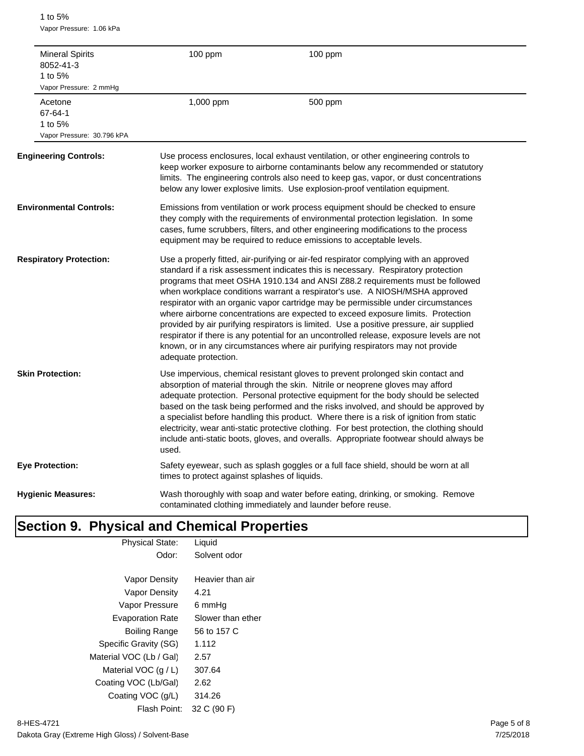1 to 5% Vapor Pressure: 1.06 kPa

| <b>Mineral Spirits</b><br>8052-41-3<br>1 to 5%<br>Vapor Pressure: 2 mmHg | 100 ppm                                       | 100 ppm                                                                                                                                                                                                                                                                                                                                                                                                                                                                                                                                                                                                                                                                                                                                                                                       |
|--------------------------------------------------------------------------|-----------------------------------------------|-----------------------------------------------------------------------------------------------------------------------------------------------------------------------------------------------------------------------------------------------------------------------------------------------------------------------------------------------------------------------------------------------------------------------------------------------------------------------------------------------------------------------------------------------------------------------------------------------------------------------------------------------------------------------------------------------------------------------------------------------------------------------------------------------|
| Acetone<br>67-64-1<br>1 to 5%<br>Vapor Pressure: 30.796 kPA              | 1,000 ppm                                     | 500 ppm                                                                                                                                                                                                                                                                                                                                                                                                                                                                                                                                                                                                                                                                                                                                                                                       |
| <b>Engineering Controls:</b>                                             |                                               | Use process enclosures, local exhaust ventilation, or other engineering controls to<br>keep worker exposure to airborne contaminants below any recommended or statutory<br>limits. The engineering controls also need to keep gas, vapor, or dust concentrations<br>below any lower explosive limits. Use explosion-proof ventilation equipment.                                                                                                                                                                                                                                                                                                                                                                                                                                              |
| <b>Environmental Controls:</b>                                           |                                               | Emissions from ventilation or work process equipment should be checked to ensure<br>they comply with the requirements of environmental protection legislation. In some<br>cases, fume scrubbers, filters, and other engineering modifications to the process<br>equipment may be required to reduce emissions to acceptable levels.                                                                                                                                                                                                                                                                                                                                                                                                                                                           |
| <b>Respiratory Protection:</b>                                           | adequate protection.                          | Use a properly fitted, air-purifying or air-fed respirator complying with an approved<br>standard if a risk assessment indicates this is necessary. Respiratory protection<br>programs that meet OSHA 1910.134 and ANSI Z88.2 requirements must be followed<br>when workplace conditions warrant a respirator's use. A NIOSH/MSHA approved<br>respirator with an organic vapor cartridge may be permissible under circumstances<br>where airborne concentrations are expected to exceed exposure limits. Protection<br>provided by air purifying respirators is limited. Use a positive pressure, air supplied<br>respirator if there is any potential for an uncontrolled release, exposure levels are not<br>known, or in any circumstances where air purifying respirators may not provide |
| <b>Skin Protection:</b>                                                  | used.                                         | Use impervious, chemical resistant gloves to prevent prolonged skin contact and<br>absorption of material through the skin. Nitrile or neoprene gloves may afford<br>adequate protection. Personal protective equipment for the body should be selected<br>based on the task being performed and the risks involved, and should be approved by<br>a specialist before handling this product. Where there is a risk of ignition from static<br>electricity, wear anti-static protective clothing. For best protection, the clothing should<br>include anti-static boots, gloves, and overalls. Appropriate footwear should always be                                                                                                                                                           |
| <b>Eye Protection:</b>                                                   | times to protect against splashes of liquids. | Safety eyewear, such as splash goggles or a full face shield, should be worn at all                                                                                                                                                                                                                                                                                                                                                                                                                                                                                                                                                                                                                                                                                                           |
| <b>Hygienic Measures:</b>                                                |                                               | Wash thoroughly with soap and water before eating, drinking, or smoking. Remove<br>contaminated clothing immediately and launder before reuse.                                                                                                                                                                                                                                                                                                                                                                                                                                                                                                                                                                                                                                                |

## **Section 9. Physical and Chemical Properties**

| <b>Physical State:</b>  | Liquid            |  |
|-------------------------|-------------------|--|
| Odor:                   | Solvent odor      |  |
|                         |                   |  |
| Vapor Density           | Heavier than air  |  |
| Vapor Density           | 4.21              |  |
| Vapor Pressure          | 6 mmHq            |  |
| <b>Evaporation Rate</b> | Slower than ether |  |
| Boiling Range           | 56 to 157 C       |  |
| Specific Gravity (SG)   | 1.112             |  |
| Material VOC (Lb / Gal) | 2.57              |  |
| Material VOC $(q/L)$    | 307.64            |  |
| Coating VOC (Lb/Gal)    | 2.62              |  |
| Coating VOC (g/L)       | 314.26            |  |
| Flash Point:            | 32 C (90 F)       |  |
|                         |                   |  |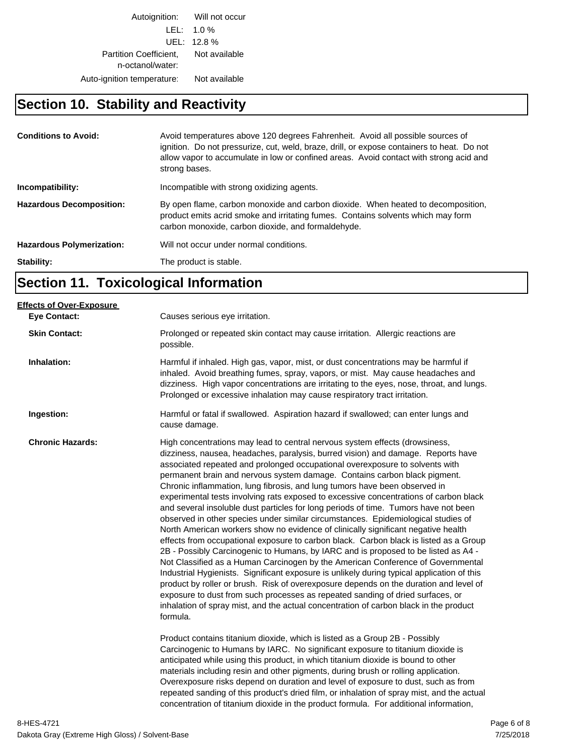Autoignition: Will not occur LEL: 1.0 % UEL: 12.8 % Partition Coefficient, Not available n-octanol/water: Auto-ignition temperature: Not available

#### **Section 10. Stability and Reactivity**

| <b>Conditions to Avoid:</b>      | Avoid temperatures above 120 degrees Fahrenheit. Avoid all possible sources of<br>ignition. Do not pressurize, cut, weld, braze, drill, or expose containers to heat. Do not<br>allow vapor to accumulate in low or confined areas. Avoid contact with strong acid and<br>strong bases. |
|----------------------------------|-----------------------------------------------------------------------------------------------------------------------------------------------------------------------------------------------------------------------------------------------------------------------------------------|
| Incompatibility:                 | Incompatible with strong oxidizing agents.                                                                                                                                                                                                                                              |
| <b>Hazardous Decomposition:</b>  | By open flame, carbon monoxide and carbon dioxide. When heated to decomposition,<br>product emits acrid smoke and irritating fumes. Contains solvents which may form<br>carbon monoxide, carbon dioxide, and formaldehyde.                                                              |
| <b>Hazardous Polymerization:</b> | Will not occur under normal conditions.                                                                                                                                                                                                                                                 |
| Stability:                       | The product is stable.                                                                                                                                                                                                                                                                  |

## **Section 11. Toxicological Information**

| Causes serious eye irritation.                                                                                                                                                                                                                                                                                                                                                                                                                                                                                                                                                                                                                                                                                                                                                                                                                                                                                                                                                                                                                                                                                                                                                                                                                                                                                                                                                                                                                                                                                                                                                                                                                                                                                                                                                                                                                        |
|-------------------------------------------------------------------------------------------------------------------------------------------------------------------------------------------------------------------------------------------------------------------------------------------------------------------------------------------------------------------------------------------------------------------------------------------------------------------------------------------------------------------------------------------------------------------------------------------------------------------------------------------------------------------------------------------------------------------------------------------------------------------------------------------------------------------------------------------------------------------------------------------------------------------------------------------------------------------------------------------------------------------------------------------------------------------------------------------------------------------------------------------------------------------------------------------------------------------------------------------------------------------------------------------------------------------------------------------------------------------------------------------------------------------------------------------------------------------------------------------------------------------------------------------------------------------------------------------------------------------------------------------------------------------------------------------------------------------------------------------------------------------------------------------------------------------------------------------------------|
| Prolonged or repeated skin contact may cause irritation. Allergic reactions are<br>possible.                                                                                                                                                                                                                                                                                                                                                                                                                                                                                                                                                                                                                                                                                                                                                                                                                                                                                                                                                                                                                                                                                                                                                                                                                                                                                                                                                                                                                                                                                                                                                                                                                                                                                                                                                          |
| Harmful if inhaled. High gas, vapor, mist, or dust concentrations may be harmful if<br>inhaled. Avoid breathing fumes, spray, vapors, or mist. May cause headaches and<br>dizziness. High vapor concentrations are irritating to the eyes, nose, throat, and lungs.<br>Prolonged or excessive inhalation may cause respiratory tract irritation.                                                                                                                                                                                                                                                                                                                                                                                                                                                                                                                                                                                                                                                                                                                                                                                                                                                                                                                                                                                                                                                                                                                                                                                                                                                                                                                                                                                                                                                                                                      |
| Harmful or fatal if swallowed. Aspiration hazard if swallowed; can enter lungs and<br>cause damage.                                                                                                                                                                                                                                                                                                                                                                                                                                                                                                                                                                                                                                                                                                                                                                                                                                                                                                                                                                                                                                                                                                                                                                                                                                                                                                                                                                                                                                                                                                                                                                                                                                                                                                                                                   |
| High concentrations may lead to central nervous system effects (drowsiness,<br>dizziness, nausea, headaches, paralysis, burred vision) and damage. Reports have<br>associated repeated and prolonged occupational overexposure to solvents with<br>permanent brain and nervous system damage. Contains carbon black pigment.<br>Chronic inflammation, lung fibrosis, and lung tumors have been observed in<br>experimental tests involving rats exposed to excessive concentrations of carbon black<br>and several insoluble dust particles for long periods of time. Tumors have not been<br>observed in other species under similar circumstances. Epidemiological studies of<br>North American workers show no evidence of clinically significant negative health<br>effects from occupational exposure to carbon black. Carbon black is listed as a Group<br>2B - Possibly Carcinogenic to Humans, by IARC and is proposed to be listed as A4 -<br>Not Classified as a Human Carcinogen by the American Conference of Governmental<br>Industrial Hygienists. Significant exposure is unlikely during typical application of this<br>product by roller or brush. Risk of overexposure depends on the duration and level of<br>exposure to dust from such processes as repeated sanding of dried surfaces, or<br>inhalation of spray mist, and the actual concentration of carbon black in the product<br>formula.<br>Product contains titanium dioxide, which is listed as a Group 2B - Possibly<br>Carcinogenic to Humans by IARC. No significant exposure to titanium dioxide is<br>anticipated while using this product, in which titanium dioxide is bound to other<br>materials including resin and other pigments, during brush or rolling application.<br>Overexposure risks depend on duration and level of exposure to dust, such as from |
| repeated sanding of this product's dried film, or inhalation of spray mist, and the actual<br>concentration of titanium dioxide in the product formula. For additional information,                                                                                                                                                                                                                                                                                                                                                                                                                                                                                                                                                                                                                                                                                                                                                                                                                                                                                                                                                                                                                                                                                                                                                                                                                                                                                                                                                                                                                                                                                                                                                                                                                                                                   |
|                                                                                                                                                                                                                                                                                                                                                                                                                                                                                                                                                                                                                                                                                                                                                                                                                                                                                                                                                                                                                                                                                                                                                                                                                                                                                                                                                                                                                                                                                                                                                                                                                                                                                                                                                                                                                                                       |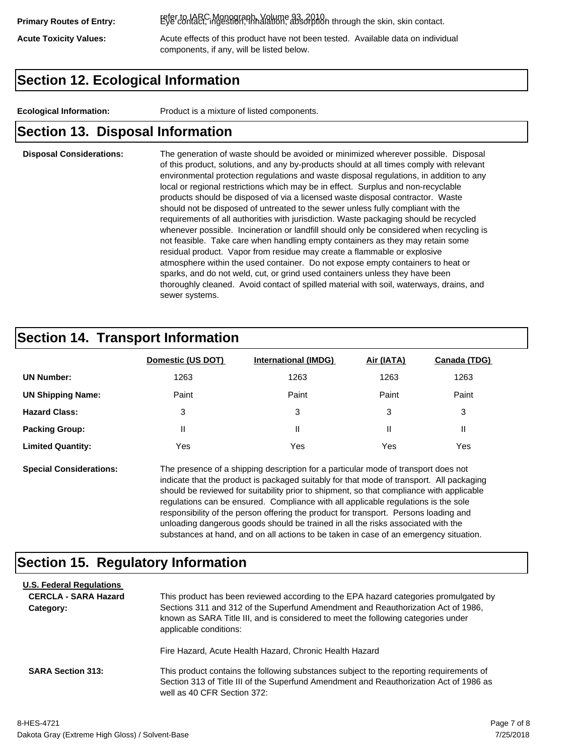refer to IARC Monograph, Volume 93, 2010. **Primary Routes of Entry:** Eye contact, ingestion, inhalation, absorption through the skin, skin contact.

Acute Toxicity Values: **Acute effects of this product have not been tested.** Available data on individual components, if any, will be listed below.

## **Section 12. Ecological Information**

**Ecological Information:** Product is a mixture of listed components.

#### **Section 13. Disposal Information**

#### **Disposal Considerations:** The generation of waste should be avoided or minimized wherever possible. Disposal of this product, solutions, and any by-products should at all times comply with relevant environmental protection regulations and waste disposal regulations, in addition to any local or regional restrictions which may be in effect. Surplus and non-recyclable products should be disposed of via a licensed waste disposal contractor. Waste should not be disposed of untreated to the sewer unless fully compliant with the requirements of all authorities with jurisdiction. Waste packaging should be recycled whenever possible. Incineration or landfill should only be considered when recycling is not feasible. Take care when handling empty containers as they may retain some residual product. Vapor from residue may create a flammable or explosive atmosphere within the used container. Do not expose empty containers to heat or sparks, and do not weld, cut, or grind used containers unless they have been thoroughly cleaned. Avoid contact of spilled material with soil, waterways, drains, and sewer systems.

#### **Section 14. Transport Information**

|                          | Domestic (US DOT) | <b>International (IMDG)</b> | Air (IATA) | Canada (TDG) |
|--------------------------|-------------------|-----------------------------|------------|--------------|
| <b>UN Number:</b>        | 1263              | 1263                        | 1263       | 1263         |
| <b>UN Shipping Name:</b> | Paint             | Paint                       | Paint      | Paint        |
| <b>Hazard Class:</b>     | 3                 | 3                           | 3          | 3            |
| <b>Packing Group:</b>    | Ш                 | Ш                           |            |              |
| <b>Limited Quantity:</b> | Yes               | Yes                         | Yes        | Yes          |

**Special Considerations:** The presence of a shipping description for a particular mode of transport does not indicate that the product is packaged suitably for that mode of transport. All packaging should be reviewed for suitability prior to shipment, so that compliance with applicable regulations can be ensured. Compliance with all applicable regulations is the sole responsibility of the person offering the product for transport. Persons loading and unloading dangerous goods should be trained in all the risks associated with the substances at hand, and on all actions to be taken in case of an emergency situation.

#### **Section 15. Regulatory Information**

| <b>U.S. Federal Regulations</b><br><b>CERCLA - SARA Hazard</b><br>Category: | This product has been reviewed according to the EPA hazard categories promulgated by<br>Sections 311 and 312 of the Superfund Amendment and Reauthorization Act of 1986,<br>known as SARA Title III, and is considered to meet the following categories under<br>applicable conditions: |
|-----------------------------------------------------------------------------|-----------------------------------------------------------------------------------------------------------------------------------------------------------------------------------------------------------------------------------------------------------------------------------------|
| <b>SARA Section 313:</b>                                                    | Fire Hazard, Acute Health Hazard, Chronic Health Hazard<br>This product contains the following substances subject to the reporting requirements of                                                                                                                                      |
|                                                                             | Section 313 of Title III of the Superfund Amendment and Reauthorization Act of 1986 as<br>well as 40 CFR Section 372:                                                                                                                                                                   |